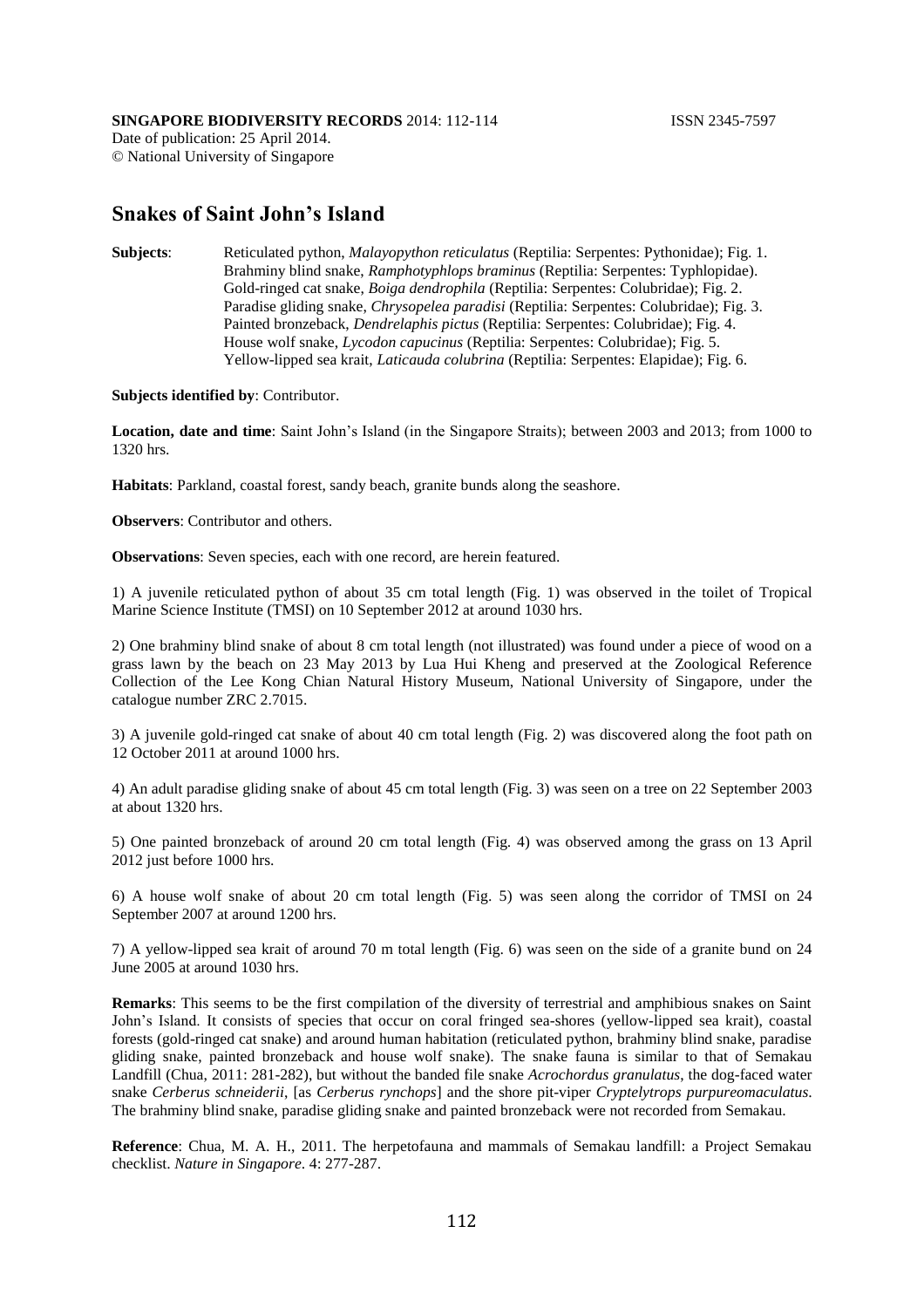## **SINGAPORE BIODIVERSITY RECORDS** 2014: 112-114 **ISSN 2345-7597**

Date of publication: 25 April 2014. © National University of Singapore

## **Snakes of Saint John's Island**

**Subjects**: Reticulated python, *Malayopython reticulatus* (Reptilia: Serpentes: Pythonidae); Fig. 1. Brahminy blind snake, *Ramphotyphlops braminus* (Reptilia: Serpentes: Typhlopidae). Gold-ringed cat snake, *Boiga dendrophila* (Reptilia: Serpentes: Colubridae); Fig. 2. Paradise gliding snake, *Chrysopelea paradisi* (Reptilia: Serpentes: Colubridae); Fig. 3. Painted bronzeback, *Dendrelaphis pictus* (Reptilia: Serpentes: Colubridae); Fig. 4. House wolf snake, *Lycodon capucinus* (Reptilia: Serpentes: Colubridae); Fig. 5. Yellow-lipped sea krait, *Laticauda colubrina* (Reptilia: Serpentes: Elapidae); Fig. 6.

**Subjects identified by**: Contributor.

**Location, date and time**: Saint John's Island (in the Singapore Straits); between 2003 and 2013; from 1000 to 1320 hrs.

**Habitats**: Parkland, coastal forest, sandy beach, granite bunds along the seashore.

**Observers**: Contributor and others.

**Observations**: Seven species, each with one record, are herein featured.

1) A juvenile reticulated python of about 35 cm total length (Fig. 1) was observed in the toilet of Tropical Marine Science Institute (TMSI) on 10 September 2012 at around 1030 hrs.

2) One brahminy blind snake of about 8 cm total length (not illustrated) was found under a piece of wood on a grass lawn by the beach on 23 May 2013 by Lua Hui Kheng and preserved at the Zoological Reference Collection of the Lee Kong Chian Natural History Museum, National University of Singapore, under the catalogue number ZRC 2.7015.

3) A juvenile gold-ringed cat snake of about 40 cm total length (Fig. 2) was discovered along the foot path on 12 October 2011 at around 1000 hrs.

4) An adult paradise gliding snake of about 45 cm total length (Fig. 3) was seen on a tree on 22 September 2003 at about 1320 hrs.

5) One painted bronzeback of around 20 cm total length (Fig. 4) was observed among the grass on 13 April 2012 just before 1000 hrs.

6) A house wolf snake of about 20 cm total length (Fig. 5) was seen along the corridor of TMSI on 24 September 2007 at around 1200 hrs.

7) A yellow-lipped sea krait of around 70 m total length (Fig. 6) was seen on the side of a granite bund on 24 June 2005 at around 1030 hrs.

**Remarks**: This seems to be the first compilation of the diversity of terrestrial and amphibious snakes on Saint John's Island. It consists of species that occur on coral fringed sea-shores (yellow-lipped sea krait), coastal forests (gold-ringed cat snake) and around human habitation (reticulated python, brahminy blind snake, paradise gliding snake, painted bronzeback and house wolf snake). The snake fauna is similar to that of Semakau Landfill (Chua, 2011: 281-282), but without the banded file snake *Acrochordus granulatus*, the dog-faced water snake *Cerberus schneiderii*, [as *Cerberus rynchops*] and the shore pit-viper *Cryptelytrops purpureomaculatus*. The brahminy blind snake, paradise gliding snake and painted bronzeback were not recorded from Semakau.

**Reference**: Chua, M. A. H., 2011. The herpetofauna and mammals of Semakau landfill: a Project Semakau checklist. *Nature in Singapore*. 4: 277-287.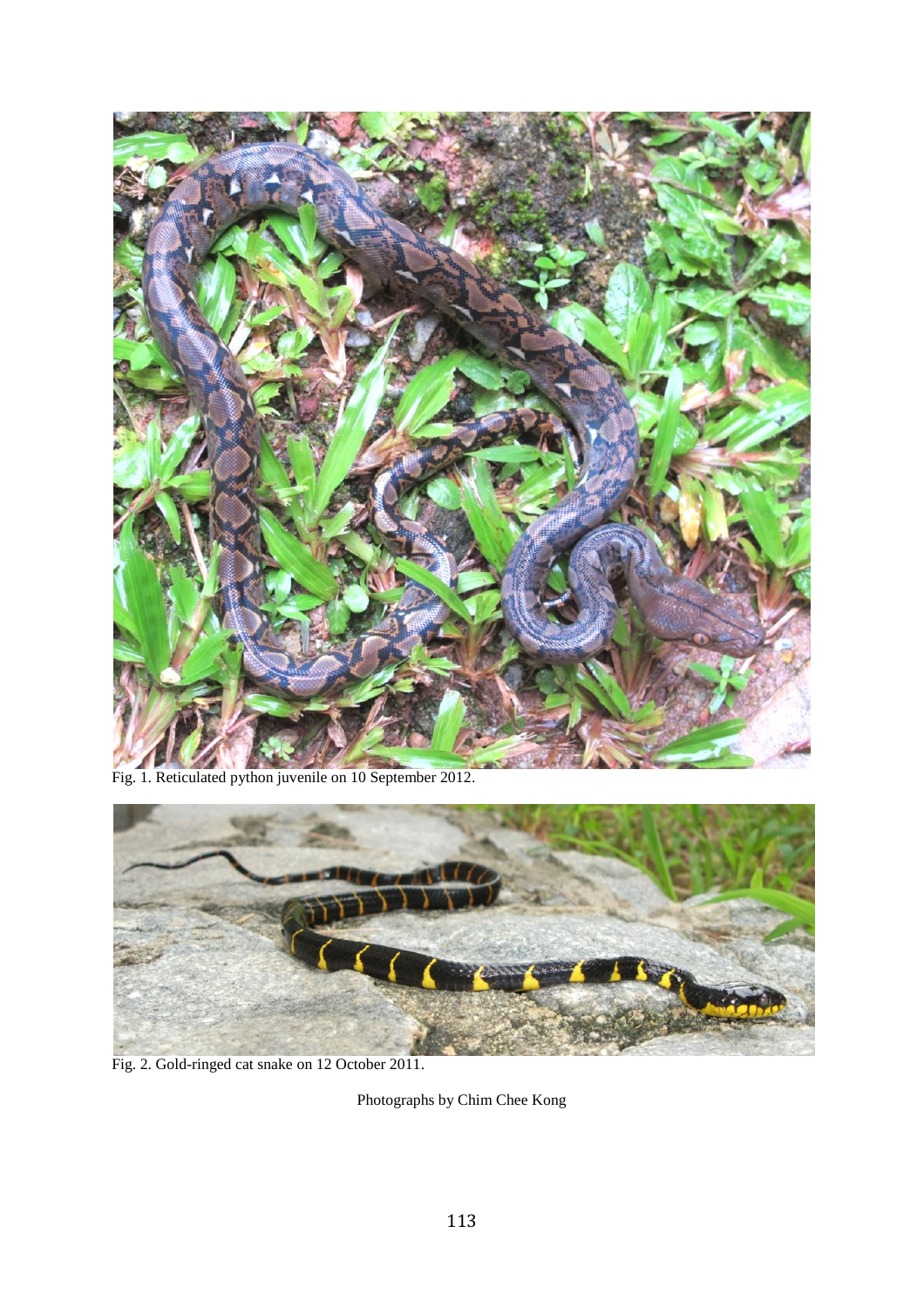

Fig. 1. Reticulated python juvenile on 10 September 2012.



Fig. 2. Gold-ringed cat snake on 12 October 2011.

Photographs by Chim Chee Kong